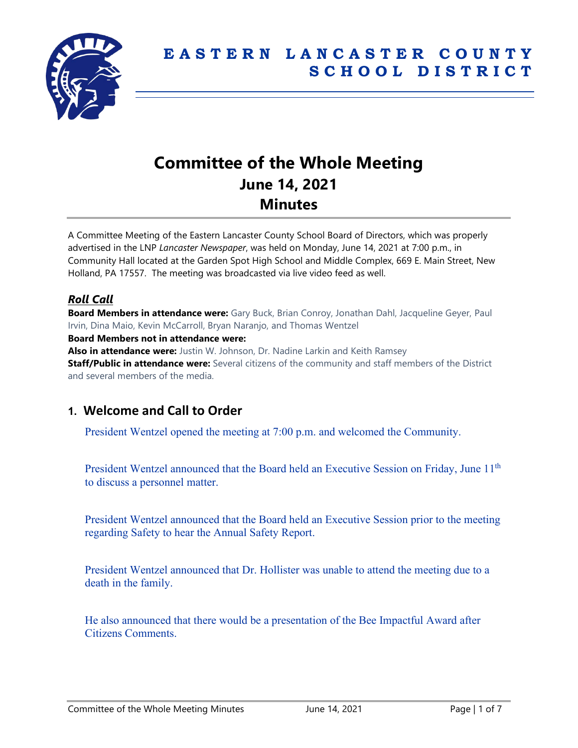

# **Committee of the Whole Meeting June 14, 2021 Minutes**

A Committee Meeting of the Eastern Lancaster County School Board of Directors, which was properly advertised in the LNP *Lancaster Newspaper*, was held on Monday, June 14, 2021 at 7:00 p.m., in Community Hall located at the Garden Spot High School and Middle Complex, 669 E. Main Street, New Holland, PA 17557. The meeting was broadcasted via live video feed as well.

# *Roll Call*

**Board Members in attendance were:** Gary Buck, Brian Conroy, Jonathan Dahl, Jacqueline Geyer, Paul Irvin, Dina Maio, Kevin McCarroll, Bryan Naranjo, and Thomas Wentzel **Board Members not in attendance were: Also in attendance were:** Justin W. Johnson, Dr. Nadine Larkin and Keith Ramsey **Staff/Public in attendance were:** Several citizens of the community and staff members of the District and several members of the media.

# **1. Welcome and Call to Order**

President Wentzel opened the meeting at 7:00 p.m. and welcomed the Community.

President Wentzel announced that the Board held an Executive Session on Friday, June 11<sup>th</sup> to discuss a personnel matter.

President Wentzel announced that the Board held an Executive Session prior to the meeting regarding Safety to hear the Annual Safety Report.

President Wentzel announced that Dr. Hollister was unable to attend the meeting due to a death in the family.

He also announced that there would be a presentation of the Bee Impactful Award after Citizens Comments.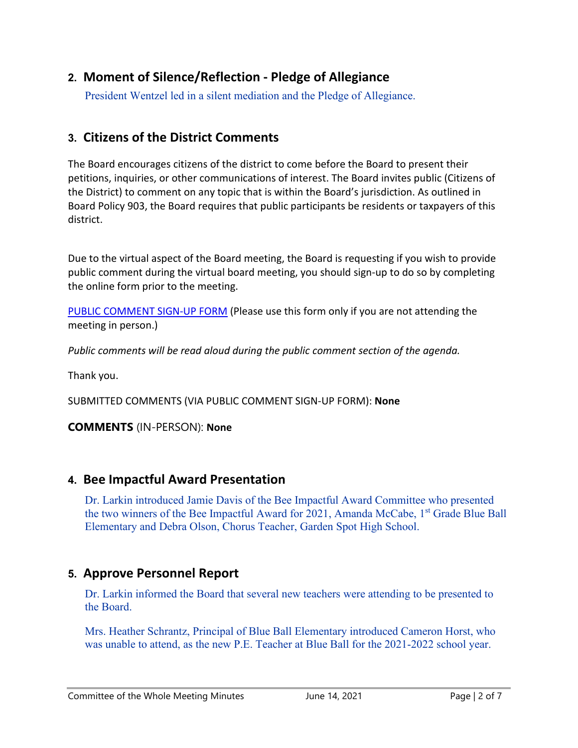# **2. Moment of Silence/Reflection - Pledge of Allegiance**

President Wentzel led in a silent mediation and the Pledge of Allegiance.

# **3. Citizens of the District Comments**

The Board encourages citizens of the district to come before the Board to present their petitions, inquiries, or other communications of interest. The Board invites public (Citizens of the District) to comment on any topic that is within the Board's jurisdiction. As outlined in Board Policy 903, the Board requires that public participants be residents or taxpayers of this district.

Due to the virtual aspect of the Board meeting, the Board is requesting if you wish to provide public comment during the virtual board meeting, you should sign-up to do so by completing the online form prior to the meeting.

[PUBLIC COMMENT SIGN-UP FORM](https://forms.gle/zDXXoX8rZQUxt1Ap6) (Please use this form only if you are not attending the meeting in person.)

*Public comments will be read aloud during the public comment section of the agenda.*

Thank you.

SUBMITTED COMMENTS (VIA PUBLIC COMMENT SIGN-UP FORM): **None**

**COMMENTS** (IN-PERSON): **None**

# **4. Bee Impactful Award Presentation**

Dr. Larkin introduced Jamie Davis of the Bee Impactful Award Committee who presented the two winners of the Bee Impactful Award for 2021, Amanda McCabe, 1<sup>st</sup> Grade Blue Ball Elementary and Debra Olson, Chorus Teacher, Garden Spot High School.

# **5. Approve Personnel Report**

Dr. Larkin informed the Board that several new teachers were attending to be presented to the Board.

Mrs. Heather Schrantz, Principal of Blue Ball Elementary introduced Cameron Horst, who was unable to attend, as the new P.E. Teacher at Blue Ball for the 2021-2022 school year.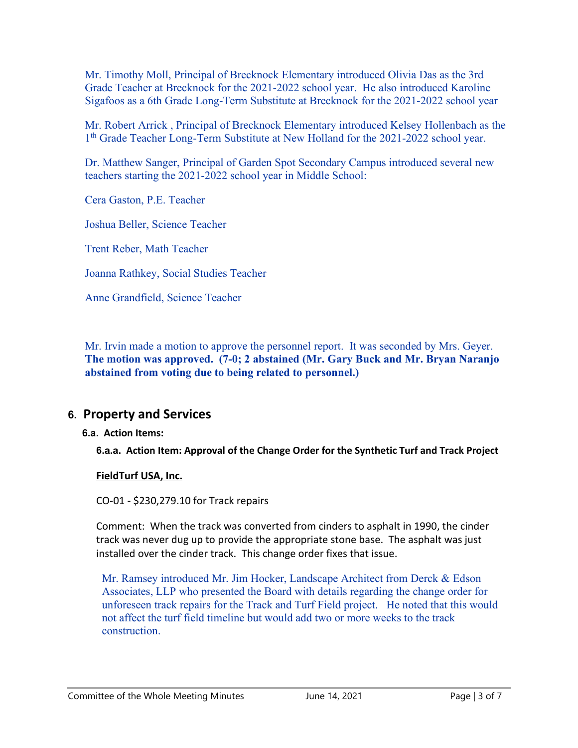Mr. Timothy Moll, Principal of Brecknock Elementary introduced Olivia Das as the 3rd Grade Teacher at Brecknock for the 2021-2022 school year. He also introduced Karoline Sigafoos as a 6th Grade Long-Term Substitute at Brecknock for the 2021-2022 school year

Mr. Robert Arrick , Principal of Brecknock Elementary introduced Kelsey Hollenbach as the 1<sup>th</sup> Grade Teacher Long-Term Substitute at New Holland for the 2021-2022 school year.

Dr. Matthew Sanger, Principal of Garden Spot Secondary Campus introduced several new teachers starting the 2021-2022 school year in Middle School:

Cera Gaston, P.E. Teacher

Joshua Beller, Science Teacher

Trent Reber, Math Teacher

Joanna Rathkey, Social Studies Teacher

Anne Grandfield, Science Teacher

Mr. Irvin made a motion to approve the personnel report. It was seconded by Mrs. Geyer. **The motion was approved. (7-0; 2 abstained (Mr. Gary Buck and Mr. Bryan Naranjo abstained from voting due to being related to personnel.)**

# **6. Property and Services**

#### **6.a. Action Items:**

**6.a.a. Action Item: Approval of the Change Order for the Synthetic Turf and Track Project**

#### **FieldTurf USA, Inc.**

CO-01 - \$230,279.10 for Track repairs

Comment: When the track was converted from cinders to asphalt in 1990, the cinder track was never dug up to provide the appropriate stone base. The asphalt was just installed over the cinder track. This change order fixes that issue.

Mr. Ramsey introduced Mr. Jim Hocker, Landscape Architect from Derck & Edson Associates, LLP who presented the Board with details regarding the change order for unforeseen track repairs for the Track and Turf Field project. He noted that this would not affect the turf field timeline but would add two or more weeks to the track construction.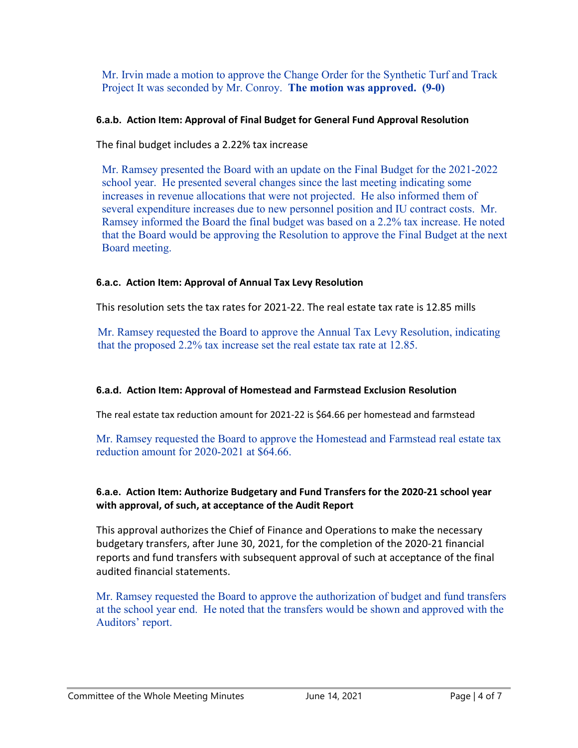Mr. Irvin made a motion to approve the Change Order for the Synthetic Turf and Track Project It was seconded by Mr. Conroy. **The motion was approved. (9-0)**

#### **6.a.b. Action Item: Approval of Final Budget for General Fund Approval Resolution**

The final budget includes a 2.22% tax increase

Mr. Ramsey presented the Board with an update on the Final Budget for the 2021-2022 school year. He presented several changes since the last meeting indicating some increases in revenue allocations that were not projected. He also informed them of several expenditure increases due to new personnel position and IU contract costs. Mr. Ramsey informed the Board the final budget was based on a 2.2% tax increase. He noted that the Board would be approving the Resolution to approve the Final Budget at the next Board meeting.

#### **6.a.c. Action Item: Approval of Annual Tax Levy Resolution**

This resolution sets the tax rates for 2021-22. The real estate tax rate is 12.85 mills

Mr. Ramsey requested the Board to approve the Annual Tax Levy Resolution, indicating that the proposed 2.2% tax increase set the real estate tax rate at 12.85.

## **6.a.d. Action Item: Approval of Homestead and Farmstead Exclusion Resolution**

The real estate tax reduction amount for 2021-22 is \$64.66 per homestead and farmstead

Mr. Ramsey requested the Board to approve the Homestead and Farmstead real estate tax reduction amount for 2020-2021 at \$64.66.

#### **6.a.e. Action Item: Authorize Budgetary and Fund Transfers for the 2020-21 school year with approval, of such, at acceptance of the Audit Report**

This approval authorizes the Chief of Finance and Operations to make the necessary budgetary transfers, after June 30, 2021, for the completion of the 2020-21 financial reports and fund transfers with subsequent approval of such at acceptance of the final audited financial statements.

Mr. Ramsey requested the Board to approve the authorization of budget and fund transfers at the school year end. He noted that the transfers would be shown and approved with the Auditors' report.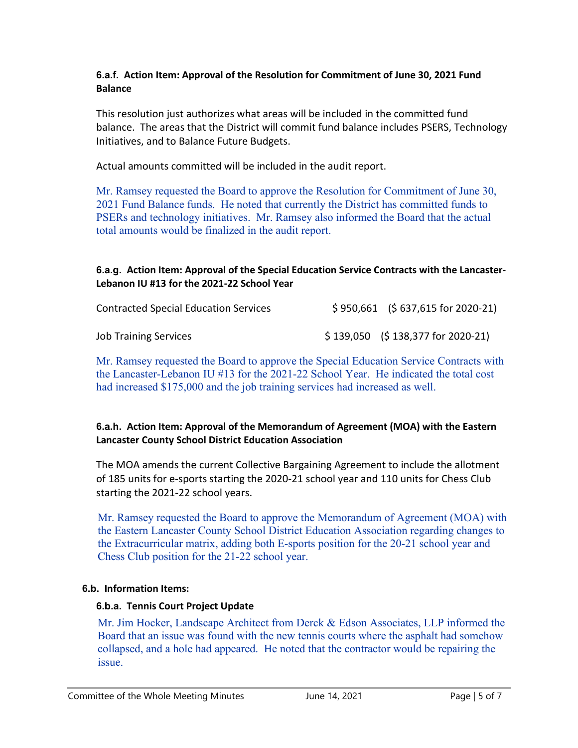#### **6.a.f. Action Item: Approval of the Resolution for Commitment of June 30, 2021 Fund Balance**

This resolution just authorizes what areas will be included in the committed fund balance. The areas that the District will commit fund balance includes PSERS, Technology Initiatives, and to Balance Future Budgets.

Actual amounts committed will be included in the audit report.

Mr. Ramsey requested the Board to approve the Resolution for Commitment of June 30, 2021 Fund Balance funds. He noted that currently the District has committed funds to PSERs and technology initiatives. Mr. Ramsey also informed the Board that the actual total amounts would be finalized in the audit report.

### **6.a.g. Action Item: Approval of the Special Education Service Contracts with the Lancaster-Lebanon IU #13 for the 2021-22 School Year**

| <b>Contracted Special Education Services</b> | $$950,661$ (\$637,615 for 2020-21) |
|----------------------------------------------|------------------------------------|
| <b>Job Training Services</b>                 | $$139,050$ (\$138,377 for 2020-21) |

Mr. Ramsey requested the Board to approve the Special Education Service Contracts with the Lancaster-Lebanon IU #13 for the 2021-22 School Year. He indicated the total cost had increased \$175,000 and the job training services had increased as well.

#### **6.a.h. Action Item: Approval of the Memorandum of Agreement (MOA) with the Eastern Lancaster County School District Education Association**

The MOA amends the current Collective Bargaining Agreement to include the allotment of 185 units for e-sports starting the 2020-21 school year and 110 units for Chess Club starting the 2021-22 school years.

Mr. Ramsey requested the Board to approve the Memorandum of Agreement (MOA) with the Eastern Lancaster County School District Education Association regarding changes to the Extracurricular matrix, adding both E-sports position for the 20-21 school year and Chess Club position for the 21-22 school year.

## **6.b. Information Items:**

#### **6.b.a. Tennis Court Project Update**

Mr. Jim Hocker, Landscape Architect from Derck & Edson Associates, LLP informed the Board that an issue was found with the new tennis courts where the asphalt had somehow collapsed, and a hole had appeared. He noted that the contractor would be repairing the issue.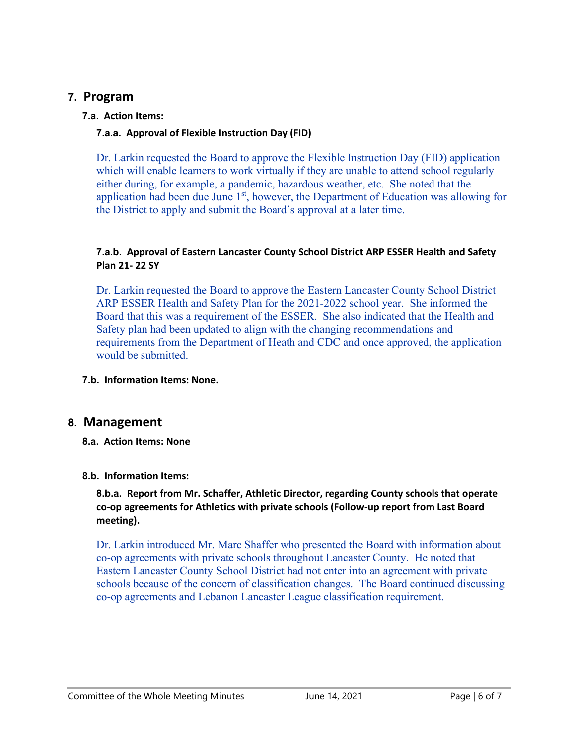## **7. Program**

### **7.a. Action Items:**

### **7.a.a. Approval of Flexible Instruction Day (FID)**

Dr. Larkin requested the Board to approve the Flexible Instruction Day (FID) application which will enable learners to work virtually if they are unable to attend school regularly either during, for example, a pandemic, hazardous weather, etc. She noted that the application had been due June  $1<sup>st</sup>$ , however, the Department of Education was allowing for the District to apply and submit the Board's approval at a later time.

#### **7.a.b. Approval of Eastern Lancaster County School District ARP ESSER Health and Safety Plan 21- 22 SY**

Dr. Larkin requested the Board to approve the Eastern Lancaster County School District ARP ESSER Health and Safety Plan for the 2021-2022 school year. She informed the Board that this was a requirement of the ESSER. She also indicated that the Health and Safety plan had been updated to align with the changing recommendations and requirements from the Department of Heath and CDC and once approved, the application would be submitted.

**7.b. Information Items: None.**

# **8. Management**

**8.a. Action Items: None**

## **8.b. Information Items:**

**8.b.a. Report from Mr. Schaffer, Athletic Director, regarding County schools that operate co-op agreements for Athletics with private schools (Follow-up report from Last Board meeting).**

Dr. Larkin introduced Mr. Marc Shaffer who presented the Board with information about co-op agreements with private schools throughout Lancaster County. He noted that Eastern Lancaster County School District had not enter into an agreement with private schools because of the concern of classification changes. The Board continued discussing co-op agreements and Lebanon Lancaster League classification requirement.